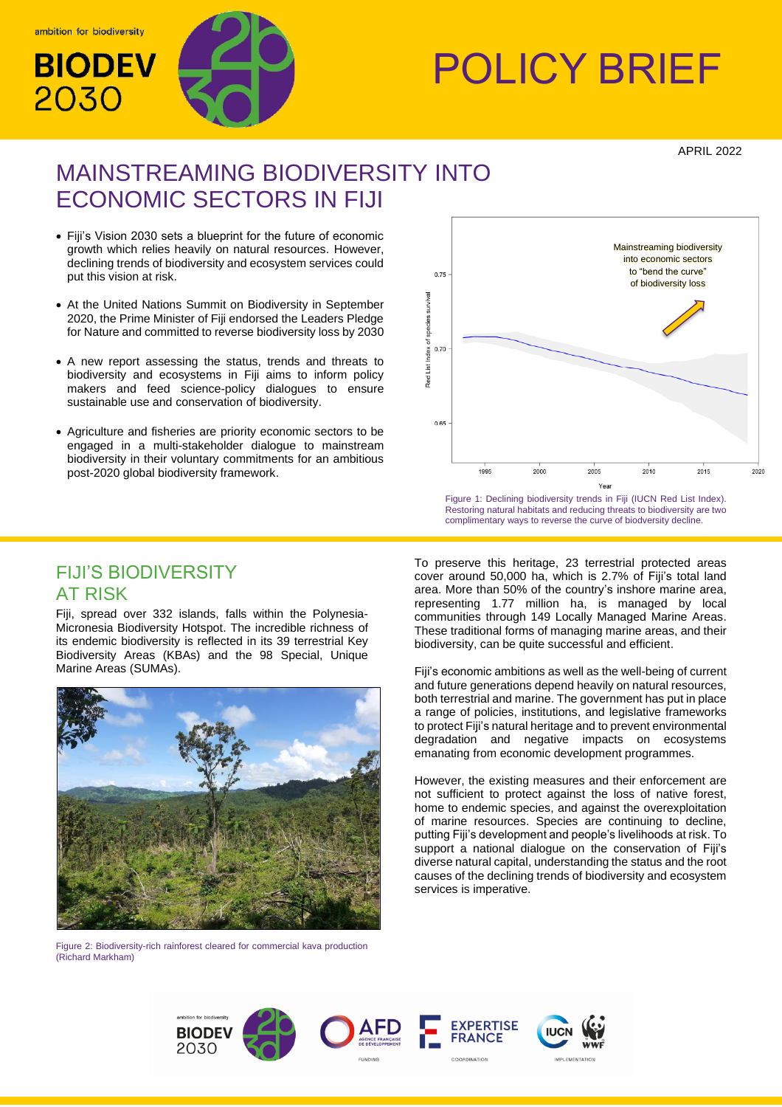

# BIODEV WAY POLICY BRIEF

APRIL 2022

# MAINSTREAMING BIODIVERSITY INTO ECONOMIC SECTORS IN FIJI

- Fiji's Vision 2030 sets a blueprint for the future of economic growth which relies heavily on natural resources. However, declining trends of biodiversity and ecosystem services could put this vision at risk.
- At the United Nations Summit on Biodiversity in September 2020, the Prime Minister of Fiji endorsed the Leaders Pledge for Nature and committed to reverse biodiversity loss by 2030
- A new report assessing the status, trends and threats to biodiversity and ecosystems in Fiji aims to inform policy makers and feed science-policy dialogues to ensure sustainable use and conservation of biodiversity.
- Agriculture and fisheries are priority economic sectors to be engaged in a multi-stakeholder dialogue to mainstream biodiversity in their voluntary commitments for an ambitious post-2020 global biodiversity framework.



Figure 1: Declining biodiversity trends in Fiji (IUCN Red List Index). Restoring natural habitats and reducing threats to biodiversity are two complimentary ways to reverse the curve of biodversity decline.

# FIJI'S BIODIVERSITY AT RISK

Fiji, spread over 332 islands, falls within the Polynesia-Micronesia Biodiversity Hotspot. The incredible richness of its endemic biodiversity is reflected in its 39 terrestrial Key Biodiversity Areas (KBAs) and the 98 Special, Unique Marine Areas (SUMAs).



Figure 2: Biodiversity-rich rainforest cleared for commercial kava production (Richard Markham)

To preserve this heritage, 23 terrestrial protected areas cover around 50,000 ha, which is 2.7% of Fiji's total land area. More than 50% of the country's inshore marine area, representing 1.77 million ha, is managed by local communities through 149 Locally Managed Marine Areas. These traditional forms of managing marine areas, and their biodiversity, can be quite successful and efficient.

Fiji's economic ambitions as well as the well-being of current and future generations depend heavily on natural resources, both terrestrial and marine. The government has put in place a range of policies, institutions, and legislative frameworks to protect Fiji's natural heritage and to prevent environmental degradation and negative impacts on ecosystems emanating from economic development programmes.

However, the existing measures and their enforcement are not sufficient to protect against the loss of native forest, home to endemic species, and against the overexploitation of marine resources. Species are continuing to decline, putting Fiji's development and people's livelihoods at risk. To support a national dialogue on the conservation of Fiji's diverse natural capital, understanding the status and the root causes of the declining trends of biodiversity and ecosystem services is imperative.